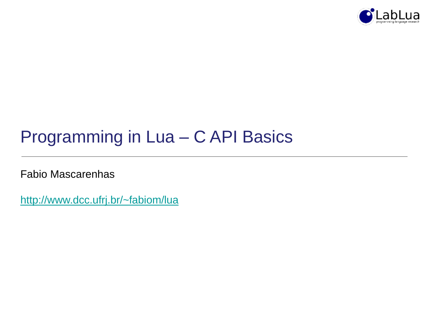

## Programming in Lua – C API Basics

Fabio Mascarenhas

<http://www.dcc.ufrj.br/~fabiom/lua>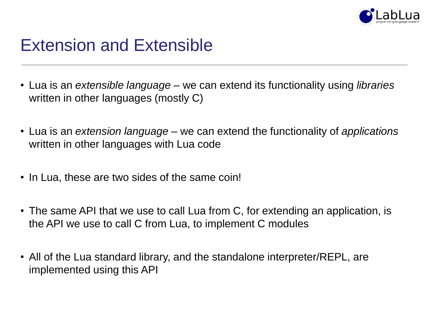

## Extension and Extensible

- Lua is an *extensible language* we can extend its functionality using *libraries* written in other languages (mostly C)
- Lua is an *extension language* we can extend the functionality of *applications* written in other languages with Lua code
- In Lua, these are two sides of the same coin!
- The same API that we use to call Lua from C, for extending an application, is the API we use to call C from Lua, to implement C modules
- All of the Lua standard library, and the standalone interpreter/REPL, are implemented using this API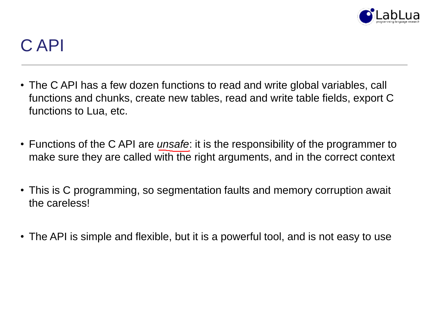

## C API

- The C API has a few dozen functions to read and write global variables, call functions and chunks, create new tables, read and write table fields, export C functions to Lua, etc.
- Functions of the C API are *unsafe*: it is the responsibility of the programmer to make sure they are called with the right arguments, and in the correct context
- This is C programming, so segmentation faults and memory corruption await the careless!
- The API is simple and flexible, but it is a powerful tool, and is not easy to use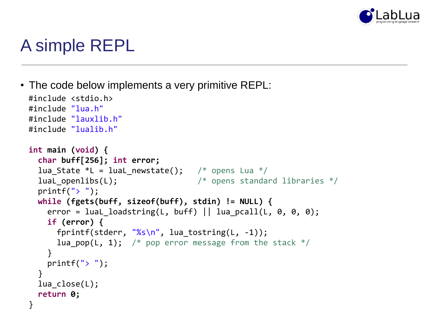

## A simple REPL

• The code below implements a very primitive REPL:

```
#include <stdio.h>
#include "lua.h"
#include "lauxlib.h"
#include "lualib.h"
int main (void) {
  char buff[256]; int error;
  lua State *L = luaL newstate(); /* opens Lua */
  luaL openlibs(L); \frac{1}{2} /* opens standard libraries */
  print(f('> '');while (fgets(buff, sizeof(buff), stdin) != NULL) {
    error = luaL loadstring(L, buff) || lua pcall(L, 0, 0, 0);
    if (error) {
      fprintf(stderr, "%s\n", lua tostring(L, -1));
      lua pop(L, 1); /* pop error message from the stack */}
    printf("> ");
  }
  lua_close(L);
  return 0;
}
```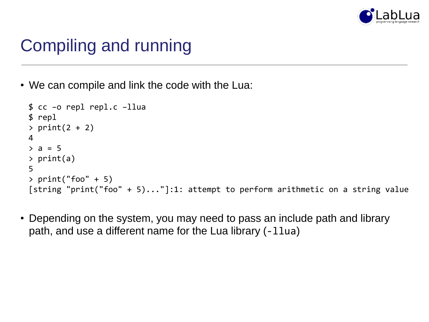

# Compiling and running

• We can compile and link the code with the Lua:

```
$ cc –o repl repl.c –llua
$ repl
> print(2 + 2)4
> a = 5> print(a)
5
> print("foo" + 5)[string "print("foo" + 5)..."]:1: attempt to perform arithmetic on a string value
```
• Depending on the system, you may need to pass an include path and library path, and use a different name for the Lua library (-llua)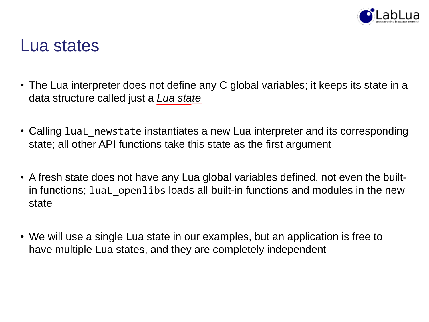

#### Lua states

- The Lua interpreter does not define any C global variables; it keeps its state in a data structure called just a *Lua state*
- Calling luaL\_newstate instantiates a new Lua interpreter and its corresponding state; all other API functions take this state as the first argument
- A fresh state does not have any Lua global variables defined, not even the builtin functions; lual openlibs loads all built-in functions and modules in the new state
- We will use a single Lua state in our examples, but an application is free to have multiple Lua states, and they are completely independent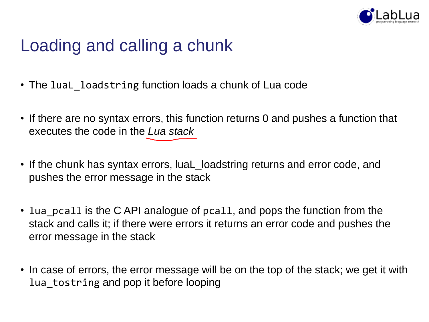

# Loading and calling a chunk

- The lual loadstring function loads a chunk of Lua code
- If there are no syntax errors, this function returns 0 and pushes a function that executes the code in the *Lua stack*
- If the chunk has syntax errors, luaL\_loadstring returns and error code, and pushes the error message in the stack
- lua\_pcall is the C API analogue of pcall, and pops the function from the stack and calls it; if there were errors it returns an error code and pushes the error message in the stack
- In case of errors, the error message will be on the top of the stack; we get it with lua\_tostring and pop it before looping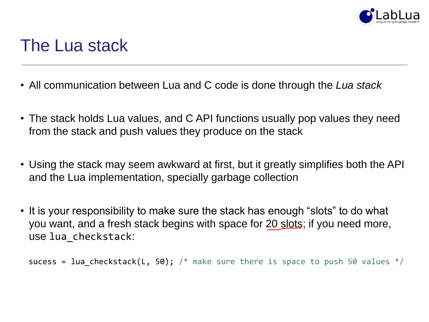

### The Lua stack

- All communication between Lua and C code is done through the *Lua stack*
- The stack holds Lua values, and C API functions usually pop values they need from the stack and push values they produce on the stack
- Using the stack may seem awkward at first, but it greatly simplifies both the API and the Lua implementation, specially garbage collection
- It is your responsibility to make sure the stack has enough "slots" to do what you want, and a fresh stack begins with space for 20 slots; if you need more, use lua\_checkstack:

```
sucess = lua_checkstack(L, 50); /* make sure there is space to push 50 values */
```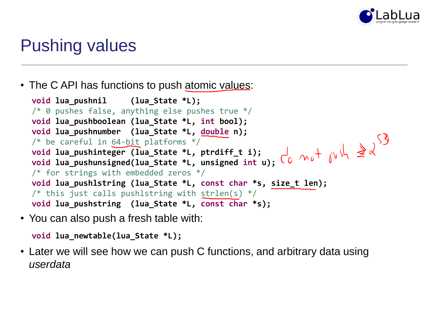

## Pushing values

• The C API has functions to push atomic values:

```
void lua_pushnil (lua_State *L);
/* 0 pushes false, anything else pushes true */void lua_pushboolean (lua_State *L, int bool);
void lua_pushnumber (lua_State *L, double n);
/* be careful in 64-bit platforms */
void lua_pushinteger (lua_State *L, ptrdiff_t i);
void lua_pushunsigned(lua_State *L, unsigned int u);
/* for strings with embedded zeros */
void lua_pushlstring (lua_State *L, const char *s, size_t len);
/* this just calls pushlstring with strlen(s) */void lua_pushstring (lua_State *L, const char *s);
```
• You can also push a fresh table with:

```
void lua_newtable(lua_State *L);
```
• Later we will see how we can push C functions, and arbitrary data using *userdata*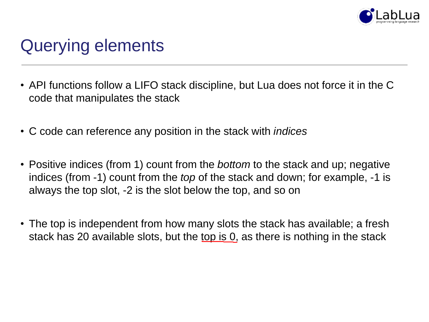

## Querying elements

- API functions follow a LIFO stack discipline, but Lua does not force it in the C code that manipulates the stack
- C code can reference any position in the stack with *indices*
- Positive indices (from 1) count from the *bottom* to the stack and up; negative indices (from -1) count from the *top* of the stack and down; for example, -1 is always the top slot, -2 is the slot below the top, and so on
- The top is independent from how many slots the stack has available; a fresh stack has 20 available slots, but the top is 0, as there is nothing in the stack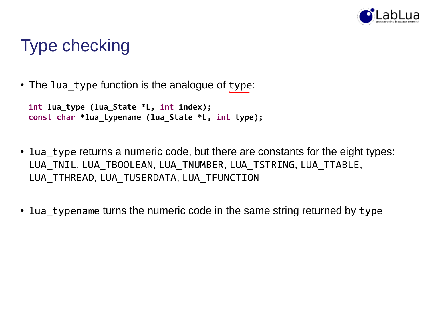

## Type checking

• The lua\_type function is the analogue of type:

```
int lua_type (lua_State *L, int index);
const char *lua_typename (lua_State *L, int type);
```
- lua type returns a numeric code, but there are constants for the eight types: LUA\_TNIL, LUA\_TBOOLEAN, LUA\_TNUMBER, LUA\_TSTRING, LUA\_TTABLE, LUA TTHREAD, LUA TUSERDATA, LUA TFUNCTION
- lua\_typename turns the numeric code in the same string returned by type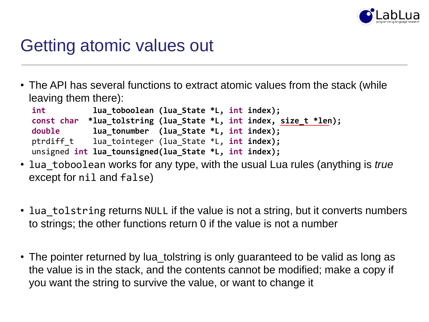

### Getting atomic values out

• The API has several functions to extract atomic values from the stack (while leaving them there):

```
int lua_toboolean (lua_State *L, int index);
const char *lua_tolstring (lua_State *L, int index, size_t *len);
double lua_tonumber (lua_State *L, int index);
ptrdiff_t lua_tointeger (lua_State *L, int index);
unsigned int lua_tounsigned(lua_State *L, int index);
```
- lua\_toboolean works for any type, with the usual Lua rules (anything is *true*  except for nil and false)
- lua tolstring returns NULL if the value is not a string, but it converts numbers to strings; the other functions return 0 if the value is not a number
- The pointer returned by lua\_tolstring is only guaranteed to be valid as long as the value is in the stack, and the contents cannot be modified; make a copy if you want the string to survive the value, or want to change it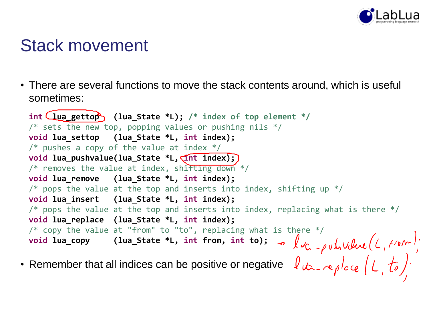

### Stack movement

• There are several functions to move the stack contents around, which is useful sometimes:

```
• Remember that all indices can be positive or negative
 int lua_gettop (lua_State *L); /* index of top element */
 /* sets the new top, popping values or pushing nils */void lua_settop (lua_State *L, int index); 
 /* pushes a copy of the value at index */void lua_pushvalue(lua_State *L, intint index);
 /* removes the value at index, shifting down */void lua_remove (lua_State *L, int index);
 /* pops the value at the top and inserts into index, shifting up */void lua_insert (lua_State *L, int index);
 /* pops the value at the top and inserts into index, replacing what is there */void lua_replace (lua_State *L, int index);
 /* copy the value at "from" to "to", replacing what is there */void lua_copy (lua_State *L, int from, int to);
```